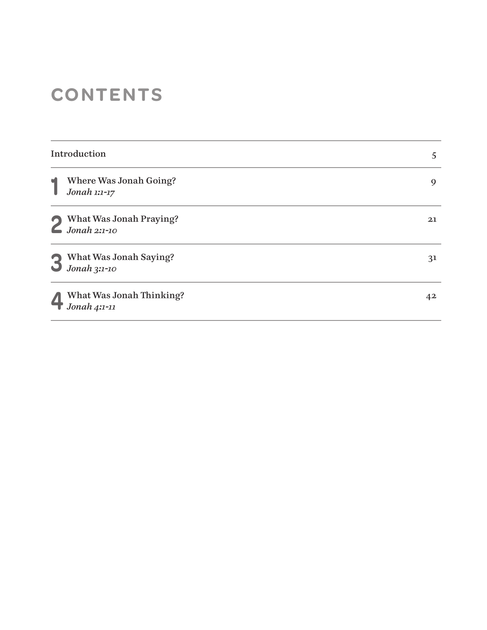# **CONTENTS**

| Introduction |                                          | 5              |
|--------------|------------------------------------------|----------------|
|              | Where Was Jonah Going?<br>Jonah 1:1-17   | 9              |
|              | What Was Jonah Praying?<br>Jonah 2:1-10  | 21             |
|              | What Was Jonah Saying?<br>Jonah $3:1-10$ | 3 <sup>1</sup> |
|              | What Was Jonah Thinking?<br>Jonah 4:1-11 | 42             |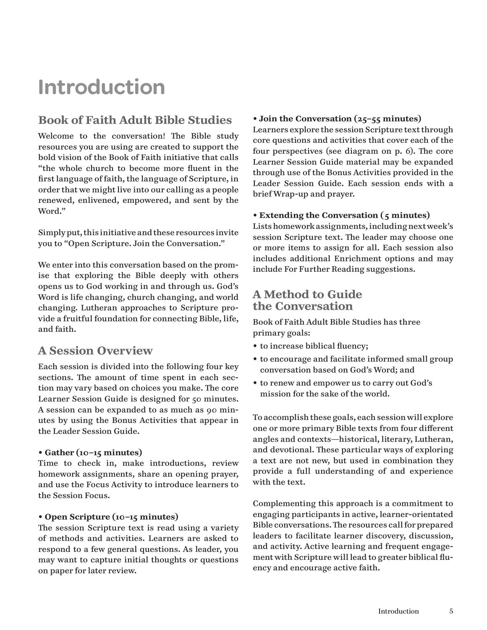# **Introduction**

# **Book of Faith Adult Bible Studies**

Welcome to the conversation! The Bible study resources you are using are created to support the bold vision of the Book of Faith initiative that calls "the whole church to become more fluent in the first language of faith, the language of Scripture, in order that we might live into our calling as a people renewed, enlivened, empowered, and sent by the Word."

Simply put, this initiative and these resources invite you to "Open Scripture. Join the Conversation."

We enter into this conversation based on the promise that exploring the Bible deeply with others opens us to God working in and through us. God's Word is life changing, church changing, and world changing. Lutheran approaches to Scripture provide a fruitful foundation for connecting Bible, life, and faith.

# **A Session Overview**

Each session is divided into the following four key sections. The amount of time spent in each section may vary based on choices you make. The core Learner Session Guide is designed for 50 minutes. A session can be expanded to as much as 90 minutes by using the Bonus Activities that appear in the Leader Session Guide.

#### • **Gather (10–15 minutes)**

Time to check in, make introductions, review homework assignments, share an opening prayer, and use the Focus Activity to introduce learners to the Session Focus.

#### • **Open Scripture (10–15 minutes)**

The session Scripture text is read using a variety of methods and activities. Learners are asked to respond to a few general questions. As leader, you may want to capture initial thoughts or questions on paper for later review.

#### • **Join the Conversation (25–55 minutes)**

Learners explore the session Scripture text through core questions and activities that cover each of the four perspectives (see diagram on p. 6). The core Learner Session Guide material may be expanded through use of the Bonus Activities provided in the Leader Session Guide. Each session ends with a brief Wrap-up and prayer.

#### • **Extending the Conversation (5 minutes)**

Lists homework assignments, including next week's session Scripture text. The leader may choose one or more items to assign for all. Each session also includes additional Enrichment options and may include For Further Reading suggestions.

# **A Method to Guide the Conversation**

Book of Faith Adult Bible Studies has three primary goals:

- to increase biblical fluency;
- to encourage and facilitate informed small group conversation based on God's Word; and
- to renew and empower us to carry out God's mission for the sake of the world.

To accomplish these goals, each session will explore one or more primary Bible texts from four different angles and contexts—historical, literary, Lutheran, and devotional. These particular ways of exploring a text are not new, but used in combination they provide a full understanding of and experience with the text.

Complementing this approach is a commitment to engaging participants in active, learner-orientated Bible conversations. The resources call for prepared leaders to facilitate learner discovery, discussion, and activity. Active learning and frequent engagement with Scripture will lead to greater biblical fluency and encourage active faith.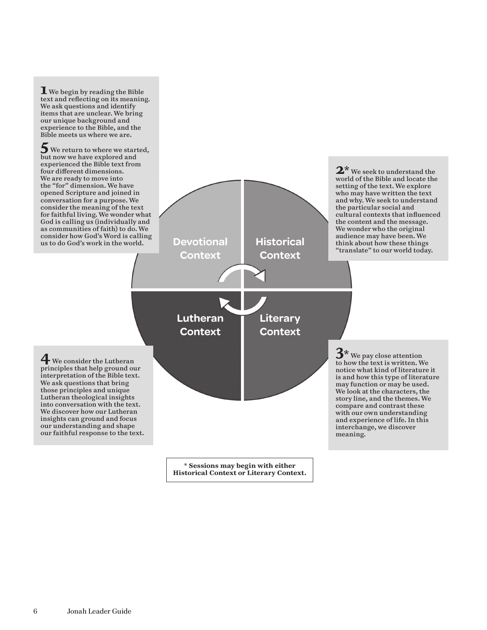

**Historical Context or Literary Context.**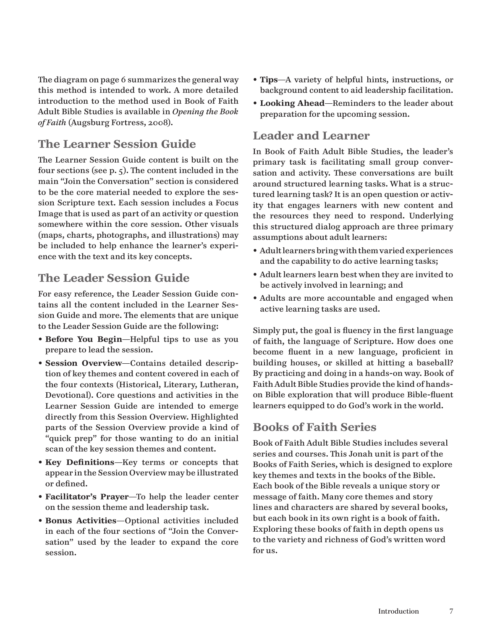The diagram on page 6 summarizes the general way this method is intended to work. A more detailed introduction to the method used in Book of Faith Adult Bible Studies is available in *Opening the Book of Faith* (Augsburg Fortress, 2008).

# **The Learner Session Guide**

The Learner Session Guide content is built on the four sections (see p. 5). The content included in the main "Join the Conversation" section is considered to be the core material needed to explore the session Scripture text. Each session includes a Focus Image that is used as part of an activity or question somewhere within the core session. Other visuals (maps, charts, photographs, and illustrations) may be included to help enhance the learner's experience with the text and its key concepts.

# **The Leader Session Guide**

For easy reference, the Leader Session Guide contains all the content included in the Learner Session Guide and more. The elements that are unique to the Leader Session Guide are the following:

- **Before You Begin**—Helpful tips to use as you prepare to lead the session.
- **Session Overview**—Contains detailed description of key themes and content covered in each of the four contexts (Historical, Literary, Lutheran, Devotional). Core questions and activities in the Learner Session Guide are intended to emerge directly from this Session Overview. Highlighted parts of the Session Overview provide a kind of "quick prep" for those wanting to do an initial scan of the key session themes and content.
- **Key Definitions**—Key terms or concepts that appear in the Session Overview may be illustrated or defined.
- **Facilitator's Prayer**—To help the leader center on the session theme and leadership task.
- **Bonus Activities**—Optional activities included in each of the four sections of "Join the Conversation" used by the leader to expand the core session.
- **Tips**—A variety of helpful hints, instructions, or background content to aid leadership facilitation.
- **Looking Ahead**—Reminders to the leader about preparation for the upcoming session.

## **Leader and Learner**

In Book of Faith Adult Bible Studies, the leader's primary task is facilitating small group conversation and activity. These conversations are built around structured learning tasks. What is a structured learning task? It is an open question or activity that engages learners with new content and the resources they need to respond. Underlying this structured dialog approach are three primary assumptions about adult learners:

- Adult learners bring with them varied experiences and the capability to do active learning tasks;
- Adult learners learn best when they are invited to be actively involved in learning; and
- Adults are more accountable and engaged when active learning tasks are used.

Simply put, the goal is fluency in the first language of faith, the language of Scripture. How does one become fluent in a new language, proficient in building houses, or skilled at hitting a baseball? By practicing and doing in a hands-on way. Book of Faith Adult Bible Studies provide the kind of handson Bible exploration that will produce Bible-fluent learners equipped to do God's work in the world.

# **Books of Faith Series**

Book of Faith Adult Bible Studies includes several series and courses. This Jonah unit is part of the Books of Faith Series, which is designed to explore key themes and texts in the books of the Bible. Each book of the Bible reveals a unique story or message of faith. Many core themes and story lines and characters are shared by several books, but each book in its own right is a book of faith. Exploring these books of faith in depth opens us to the variety and richness of God's written word for us.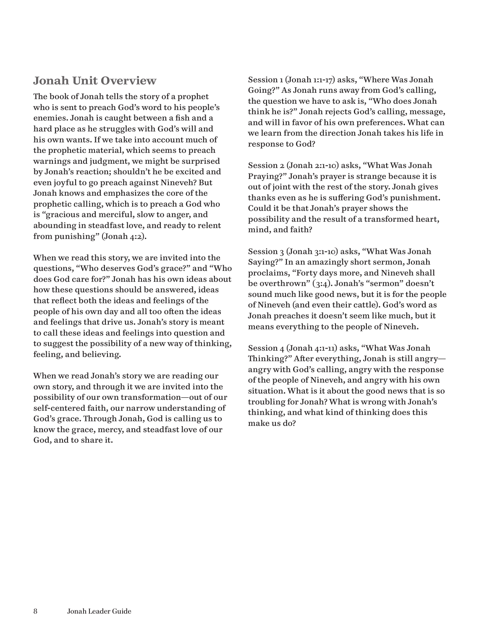# **Jonah Unit Overview**

The book of Jonah tells the story of a prophet who is sent to preach God's word to his people's enemies. Jonah is caught between a fish and a hard place as he struggles with God's will and his own wants. If we take into account much of the prophetic material, which seems to preach warnings and judgment, we might be surprised by Jonah's reaction; shouldn't he be excited and even joyful to go preach against Nineveh? But Jonah knows and emphasizes the core of the prophetic calling, which is to preach a God who is "gracious and merciful, slow to anger, and abounding in steadfast love, and ready to relent from punishing" (Jonah 4:2).

When we read this story, we are invited into the questions, "Who deserves God's grace?" and "Who does God care for?" Jonah has his own ideas about how these questions should be answered, ideas that reflect both the ideas and feelings of the people of his own day and all too often the ideas and feelings that drive us. Jonah's story is meant to call these ideas and feelings into question and to suggest the possibility of a new way of thinking, feeling, and believing.

When we read Jonah's story we are reading our own story, and through it we are invited into the possibility of our own transformation—out of our self-centered faith, our narrow understanding of God's grace. Through Jonah, God is calling us to know the grace, mercy, and steadfast love of our God, and to share it.

Session 1 (Jonah 1:1-17) asks, "Where Was Jonah Going?" As Jonah runs away from God's calling, the question we have to ask is, "Who does Jonah think he is?" Jonah rejects God's calling, message, and will in favor of his own preferences. What can we learn from the direction Jonah takes his life in response to God?

Session 2 (Jonah 2:1-10) asks, "What Was Jonah Praying?" Jonah's prayer is strange because it is out of joint with the rest of the story. Jonah gives thanks even as he is suffering God's punishment. Could it be that Jonah's prayer shows the possibility and the result of a transformed heart, mind, and faith?

Session 3 (Jonah 3:1-10) asks, "What Was Jonah Saying?" In an amazingly short sermon, Jonah proclaims, "Forty days more, and Nineveh shall be overthrown" (3:4). Jonah's "sermon" doesn't sound much like good news, but it is for the people of Nineveh (and even their cattle). God's word as Jonah preaches it doesn't seem like much, but it means everything to the people of Nineveh.

Session 4 (Jonah 4:1-11) asks, "What Was Jonah Thinking?" After everything, Jonah is still angry angry with God's calling, angry with the response of the people of Nineveh, and angry with his own situation. What is it about the good news that is so troubling for Jonah? What is wrong with Jonah's thinking, and what kind of thinking does this make us do?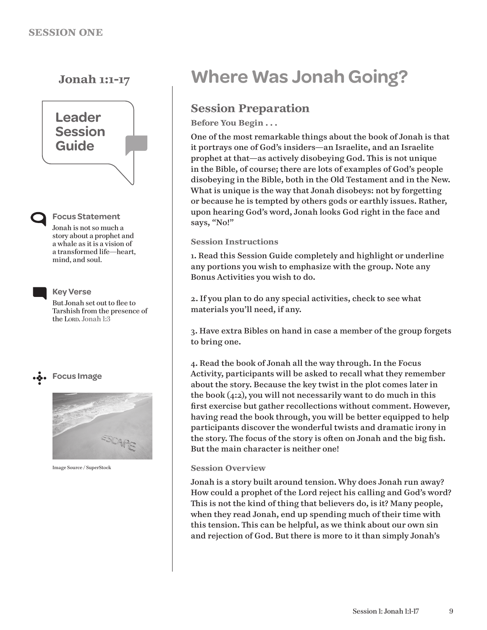

**Focus Statement**

Jonah is not so much a story about a prophet and a whale as it is a vision of a transformed life—heart, mind, and soul.



**Key Verse**

But Jonah set out to flee to Tarshish from the presence of the Lorp. Jonah 1:3





Image Source / SuperStock

# **Jonah 1:1-17 Where Was Jonah Going?**

# **Session Preparation**

**Before You Begin . . .**

One of the most remarkable things about the book of Jonah is that it portrays one of God's insiders—an Israelite, and an Israelite prophet at that—as actively disobeying God. This is not unique in the Bible, of course; there are lots of examples of God's people disobeying in the Bible, both in the Old Testament and in the New. What is unique is the way that Jonah disobeys: not by forgetting or because he is tempted by others gods or earthly issues. Rather, upon hearing God's word, Jonah looks God right in the face and says, "No!"

#### **Session Instructions**

1. Read this Session Guide completely and highlight or underline any portions you wish to emphasize with the group. Note any Bonus Activities you wish to do.

2. If you plan to do any special activities, check to see what materials you'll need, if any.

3. Have extra Bibles on hand in case a member of the group forgets to bring one.

4. Read the book of Jonah all the way through. In the Focus Activity, participants will be asked to recall what they remember about the story. Because the key twist in the plot comes later in the book (4:2), you will not necessarily want to do much in this first exercise but gather recollections without comment. However, having read the book through, you will be better equipped to help participants discover the wonderful twists and dramatic irony in the story. The focus of the story is often on Jonah and the big fish. But the main character is neither one!

#### **Session Overview**

Jonah is a story built around tension. Why does Jonah run away? How could a prophet of the Lord reject his calling and God's word? This is not the kind of thing that believers do, is it? Many people, when they read Jonah, end up spending much of their time with this tension. This can be helpful, as we think about our own sin and rejection of God. But there is more to it than simply Jonah's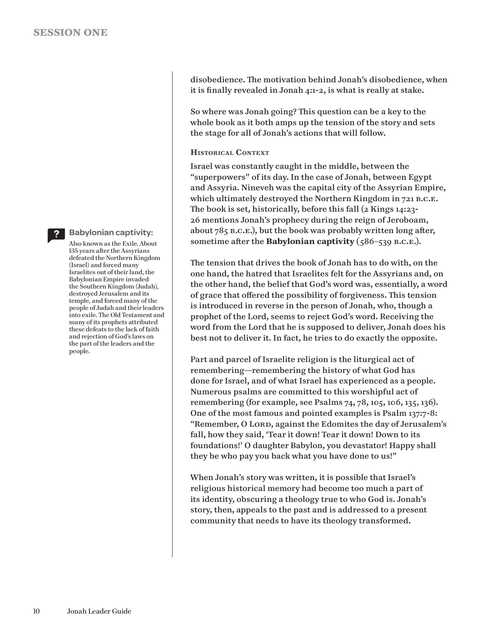

#### **Babylonian captivity:**

Also known as the Exile. About 135 years after the Assyrians defeated the Northern Kingdom (Israel) and forced many Israelites out of their land, the Babylonian Empire invaded the Southern Kingdom (Judah), destroyed Jerusalem and its temple, and forced many of the people of Judah and their leaders into exile. The Old Testament and many of its prophets attributed these defeats to the lack of faith and rejection of God's laws on the part of the leaders and the people.

disobedience. The motivation behind Jonah's disobedience, when it is finally revealed in Jonah 4:1-2, is what is really at stake.

So where was Jonah going? This question can be a key to the whole book as it both amps up the tension of the story and sets the stage for all of Jonah's actions that will follow.

#### **Historical Context**

Israel was constantly caught in the middle, between the "superpowers" of its day. In the case of Jonah, between Egypt and Assyria. Nineveh was the capital city of the Assyrian Empire, which ultimately destroyed the Northern Kingdom in 721 B.C.E. The book is set, historically, before this fall (2 Kings 14:23- 26 mentions Jonah's prophecy during the reign of Jeroboam, about 785 b.c.e.), but the book was probably written long after, sometime after the **Babylonian captivity** (586–539 b.c.e.).

The tension that drives the book of Jonah has to do with, on the one hand, the hatred that Israelites felt for the Assyrians and, on the other hand, the belief that God's word was, essentially, a word of grace that offered the possibility of forgiveness. This tension is introduced in reverse in the person of Jonah, who, though a prophet of the Lord, seems to reject God's word. Receiving the word from the Lord that he is supposed to deliver, Jonah does his best not to deliver it. In fact, he tries to do exactly the opposite.

Part and parcel of Israelite religion is the liturgical act of remembering—remembering the history of what God has done for Israel, and of what Israel has experienced as a people. Numerous psalms are committed to this worshipful act of remembering (for example, see Psalms 74, 78, 105, 106, 135, 136). One of the most famous and pointed examples is Psalm 137:7-8: "Remember, O LORD, against the Edomites the day of Jerusalem's fall, how they said, 'Tear it down! Tear it down! Down to its foundations!' O daughter Babylon, you devastator! Happy shall they be who pay you back what you have done to us!"

When Jonah's story was written, it is possible that Israel's religious historical memory had become too much a part of its identity, obscuring a theology true to who God is. Jonah's story, then, appeals to the past and is addressed to a present community that needs to have its theology transformed.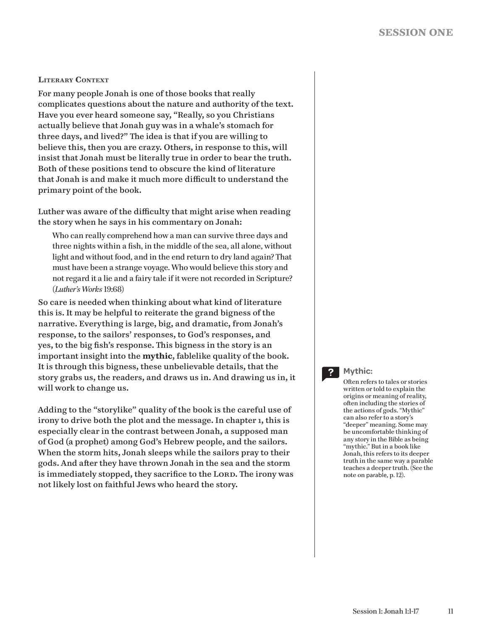#### **Literary Context**

For many people Jonah is one of those books that really complicates questions about the nature and authority of the text. Have you ever heard someone say, "Really, so you Christians actually believe that Jonah guy was in a whale's stomach for three days, and lived?" The idea is that if you are willing to believe this, then you are crazy. Others, in response to this, will insist that Jonah must be literally true in order to bear the truth. Both of these positions tend to obscure the kind of literature that Jonah is and make it much more difficult to understand the primary point of the book.

Luther was aware of the difficulty that might arise when reading the story when he says in his commentary on Jonah:

Who can really comprehend how a man can survive three days and three nights within a fish, in the middle of the sea, all alone, without light and without food, and in the end return to dry land again? That must have been a strange voyage. Who would believe this story and not regard it a lie and a fairy tale if it were not recorded in Scripture? (*Luther's Works* 19:68)

So care is needed when thinking about what kind of literature this is. It may be helpful to reiterate the grand bigness of the narrative. Everything is large, big, and dramatic, from Jonah's response, to the sailors' responses, to God's responses, and yes, to the big fish's response. This bigness in the story is an important insight into the **mythic**, fablelike quality of the book. It is through this bigness, these unbelievable details, that the story grabs us, the readers, and draws us in. And drawing us in, it will work to change us.

Adding to the "storylike" quality of the book is the careful use of irony to drive both the plot and the message. In chapter 1, this is especially clear in the contrast between Jonah, a supposed man of God (a prophet) among God's Hebrew people, and the sailors. When the storm hits, Jonah sleeps while the sailors pray to their gods. And after they have thrown Jonah in the sea and the storm is immediately stopped, they sacrifice to the LORD. The irony was not likely lost on faithful Jews who heard the story.

### **Mythic:**

Often refers to tales or stories written or told to explain the origins or meaning of reality, often including the stories of the actions of gods. "Mythic" can also refer to a story's "deeper" meaning. Some may be uncomfortable thinking of any story in the Bible as being "mythic." But in a book like Jonah, this refers to its deeper truth in the same way a parable teaches a deeper truth. (See the note on parable, p. 12).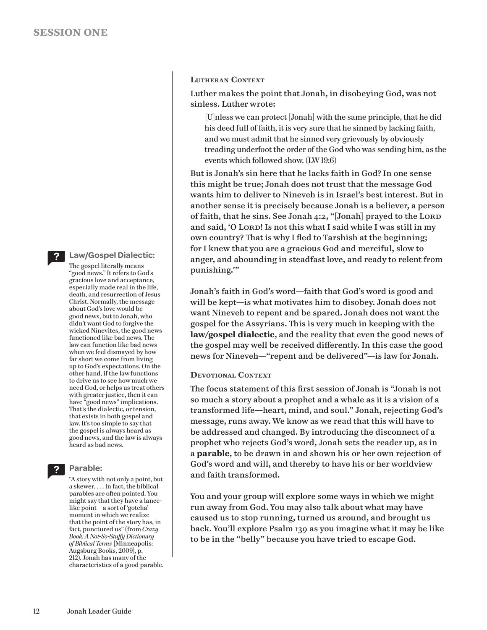#### **Law/Gospel Dialectic:**

The gospel literally means "good news." It refers to God's gracious love and acceptance, especially made real in the life, death, and resurrection of Jesus Christ. Normally, the message about God's love would be good news, but to Jonah, who didn't want God to forgive the wicked Ninevites, the good news functioned like bad news. The law can function like bad news when we feel dismayed by how far short we come from living up to God's expectations. On the other hand, if the law functions to drive us to see how much we need God, or helps us treat others with greater justice, then it can have "good news" implications. That's the dialectic, or tension, that exists in both gospel and law. It's too simple to say that the gospel is always heard as good news, and the law is always heard as bad news.

**Parable:** 

"A story with not only a point, but a skewer. . . . In fact, the biblical parables are often pointed. You might say that they have a lancelike point—a sort of 'gotcha' moment in which we realize that the point of the story has, in fact, punctured us" (from *Crazy Book: A Not-So-Stuffy Dictionary of Biblical Terms* [Minneapolis: Augsburg Books, 2009], p. 212). Jonah has many of the characteristics of a good parable.

#### **Lutheran Context**

Luther makes the point that Jonah, in disobeying God, was not sinless. Luther wrote:

[U]nless we can protect [Jonah] with the same principle, that he did his deed full of faith, it is very sure that he sinned by lacking faith, and we must admit that he sinned very grievously by obviously treading underfoot the order of the God who was sending him, as the events which followed show. (LW 19:6)

But is Jonah's sin here that he lacks faith in God? In one sense this might be true; Jonah does not trust that the message God wants him to deliver to Nineveh is in Israel's best interest. But in another sense it is precisely because Jonah is a believer, a person of faith, that he sins. See Jonah 4:2, "[Jonah] prayed to the LORD and said, 'O LORD! Is not this what I said while I was still in my own country? That is why I fled to Tarshish at the beginning; for I knew that you are a gracious God and merciful, slow to anger, and abounding in steadfast love, and ready to relent from punishing.'"

Jonah's faith in God's word—faith that God's word is good and will be kept—is what motivates him to disobey. Jonah does not want Nineveh to repent and be spared. Jonah does not want the gospel for the Assyrians. This is very much in keeping with the **law/gospel dialectic**, and the reality that even the good news of the gospel may well be received differently. In this case the good news for Nineveh—"repent and be delivered"—is law for Jonah.

#### **Devotional Context**

The focus statement of this first session of Jonah is "Jonah is not so much a story about a prophet and a whale as it is a vision of a transformed life—heart, mind, and soul." Jonah, rejecting God's message, runs away. We know as we read that this will have to be addressed and changed. By introducing the disconnect of a prophet who rejects God's word, Jonah sets the reader up, as in a **parable**, to be drawn in and shown his or her own rejection of God's word and will, and thereby to have his or her worldview and faith transformed.

You and your group will explore some ways in which we might run away from God. You may also talk about what may have caused us to stop running, turned us around, and brought us back. You'll explore Psalm 139 as you imagine what it may be like to be in the "belly" because you have tried to escape God.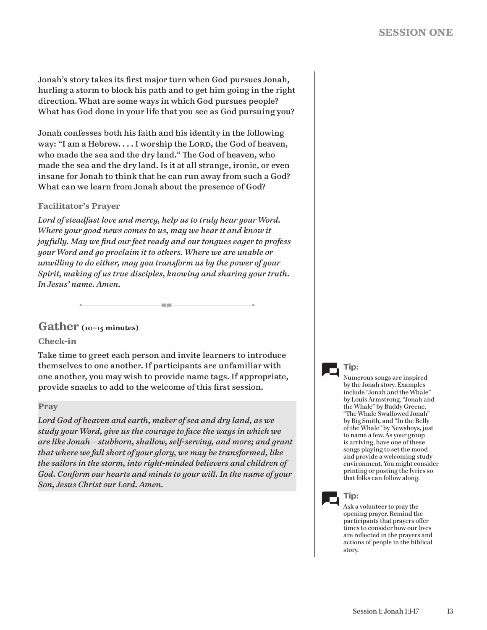Jonah's story takes its first major turn when God pursues Jonah, hurling a storm to block his path and to get him going in the right direction. What are some ways in which God pursues people? What has God done in your life that you see as God pursuing you?

Jonah confesses both his faith and his identity in the following way: "I am a Hebrew.... I worship the LORD, the God of heaven, who made the sea and the dry land." The God of heaven, who made the sea and the dry land. Is it at all strange, ironic, or even insane for Jonah to think that he can run away from such a God? What can we learn from Jonah about the presence of God?

#### **Facilitator's Prayer**

*Lord of steadfast love and mercy, help us to truly hear your Word. Where your good news comes to us, may we hear it and know it joyfully. May we find our feet ready and our tongues eager to profess your Word and go proclaim it to others. Where we are unable or unwilling to do either, may you transform us by the power of your Spirit, making of us true disciples, knowing and sharing your truth. In Jesus' name. Amen.*

e in

### **Gather (10–15 minutes)**

#### **Check-in**

Take time to greet each person and invite learners to introduce themselves to one another. If participants are unfamiliar with one another, you may wish to provide name tags. If appropriate, provide snacks to add to the welcome of this first session.

#### **Pray**

*Lord God of heaven and earth, maker of sea and dry land, as we study your Word, give us the courage to face the ways in which we are like Jonah—stubborn, shallow, self-serving, and more; and grant that where we fall short of your glory, we may be transformed, like the sailors in the storm, into right-minded believers and children of God. Conform our hearts and minds to your will. In the name of your Son, Jesus Christ our Lord. Amen.*

### **Tip:**

Numerous songs are inspired by the Jonah story. Examples include "Jonah and the Whale" by Louis Armstrong, "Jonah and the Whale" by Buddy Greene, "The Whale Swallowed Jonah" by Big Smith, and "In the Belly of the Whale" by Newsboys, just to name a few. As your group is arriving, have one of these songs playing to set the mood and provide a welcoming study environment. You might consider printing or posting the lyrics so that folks can follow along.



Ask a volunteer to pray the opening prayer. Remind the participants that prayers offer times to consider how our lives are reflected in the prayers and actions of people in the biblical story.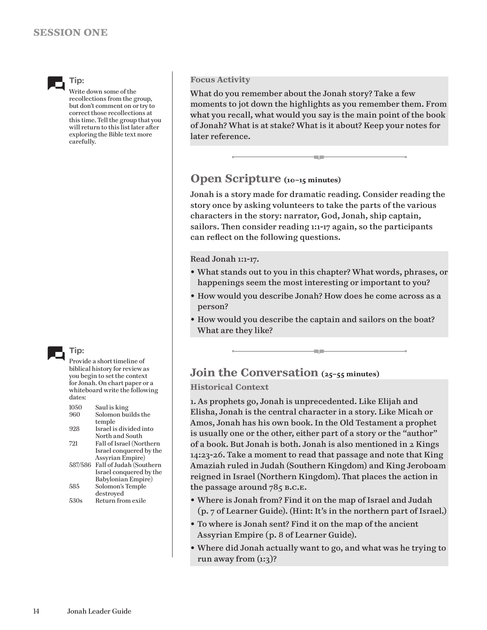

**Tip:**

Write down some of the recollections from the group, but don't comment on or try to correct those recollections at this time. Tell the group that you will return to this list later after exploring the Bible text more carefully.



Provide a short timeline of biblical history for review as you begin to set the context for Jonah. On chart paper or a whiteboard write the following dates:

| 1050 | Saul is king                    |
|------|---------------------------------|
| 960  | Solomon builds the              |
|      | temple                          |
| 928  | Israel is divided into          |
|      | North and South                 |
| 721  | Fall of Israel (Northern        |
|      | Israel conquered by the         |
|      | <b>Assyrian Empire</b> )        |
|      | 587/586 Fall of Judah (Southern |
|      | Israel conquered by the         |
|      | Babylonian Empire)              |
| 585  | Solomon's Temple                |
|      | destroyed                       |
| 530s | Return from exile               |
|      |                                 |

#### **Focus Activity**

What do you remember about the Jonah story? Take a few moments to jot down the highlights as you remember them. From what you recall, what would you say is the main point of the book of Jonah? What is at stake? What is it about? Keep your notes for later reference.

łщ.

# **Open Scripture (10–15 minutes)**

Jonah is a story made for dramatic reading. Consider reading the story once by asking volunteers to take the parts of the various characters in the story: narrator, God, Jonah, ship captain, sailors. Then consider reading 1:1-17 again, so the participants can reflect on the following questions.

Read Jonah 1:1-17.

- What stands out to you in this chapter? What words, phrases, or happenings seem the most interesting or important to you?
- How would you describe Jonah? How does he come across as a person?
- How would you describe the captain and sailors on the boat? What are they like?

an m

# **Join the Conversation (25–55 minutes)**

#### **Historical Context**

1. As prophets go, Jonah is unprecedented. Like Elijah and Elisha, Jonah is the central character in a story. Like Micah or Amos, Jonah has his own book. In the Old Testament a prophet is usually one or the other, either part of a story or the "author" of a book. But Jonah is both. Jonah is also mentioned in 2 Kings 14:23-26. Take a moment to read that passage and note that King Amaziah ruled in Judah (Southern Kingdom) and King Jeroboam reigned in Israel (Northern Kingdom). That places the action in the passage around  $785$  B.C.E.

- Where is Jonah from? Find it on the map of Israel and Judah (p. 7 of Learner Guide). (Hint: It's in the northern part of Israel.)
- To where is Jonah sent? Find it on the map of the ancient Assyrian Empire (p. 8 of Learner Guide).
- Where did Jonah actually want to go, and what was he trying to run away from  $(i:3)$ ?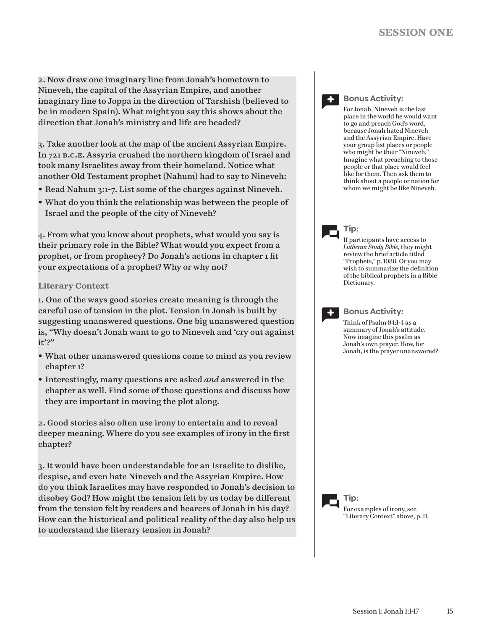2. Now draw one imaginary line from Jonah's hometown to Nineveh, the capital of the Assyrian Empire, and another imaginary line to Joppa in the direction of Tarshish (believed to be in modern Spain). What might you say this shows about the direction that Jonah's ministry and life are headed?

3. Take another look at the map of the ancient Assyrian Empire. In 721 b.c.e. Assyria crushed the northern kingdom of Israel and took many Israelites away from their homeland. Notice what another Old Testament prophet (Nahum) had to say to Nineveh:

- Read Nahum 3:1-7. List some of the charges against Nineveh.
- What do you think the relationship was between the people of Israel and the people of the city of Nineveh?

4. From what you know about prophets, what would you say is their primary role in the Bible? What would you expect from a prophet, or from prophecy? Do Jonah's actions in chapter 1 fit your expectations of a prophet? Why or why not?

#### **Literary Context**

1. One of the ways good stories create meaning is through the careful use of tension in the plot. Tension in Jonah is built by suggesting unanswered questions. One big unanswered question is, "Why doesn't Jonah want to go to Nineveh and 'cry out against it'?"

- What other unanswered questions come to mind as you review chapter 1?
- Interestingly, many questions are asked *and* answered in the chapter as well. Find some of those questions and discuss how they are important in moving the plot along.

2. Good stories also often use irony to entertain and to reveal deeper meaning. Where do you see examples of irony in the first chapter?

3. It would have been understandable for an Israelite to dislike, despise, and even hate Nineveh and the Assyrian Empire. How do you think Israelites may have responded to Jonah's decision to disobey God? How might the tension felt by us today be different from the tension felt by readers and hearers of Jonah in his day? How can the historical and political reality of the day also help us to understand the literary tension in Jonah?

**+**

#### **Bonus Activity:**

For Jonah, Nineveh is the last place in the world he would want to go and preach God's word, because Jonah hated Nineveh and the Assyrian Empire. Have your group list places or people who might be their "Nineveh." Imagine what preaching to those people or that place would feel like for them. Then ask them to think about a people or nation for whom we might be like Nineveh.

**Tip:**

If participants have access to *Lutheran Study Bible,* they might review the brief article titled "Prophets," p. 1088. Or you may wish to summarize the definition of the biblical prophets in a Bible Dictionary.

**+**

#### **Bonus Activity:**

Think of Psalm 94:1-4 as a summary of Jonah's attitude. Now imagine this psalm as Jonah's own prayer. How, for Jonah, is the prayer unanswered?

**Tip:** For examples of irony, see "Literary Context" above, p. 11.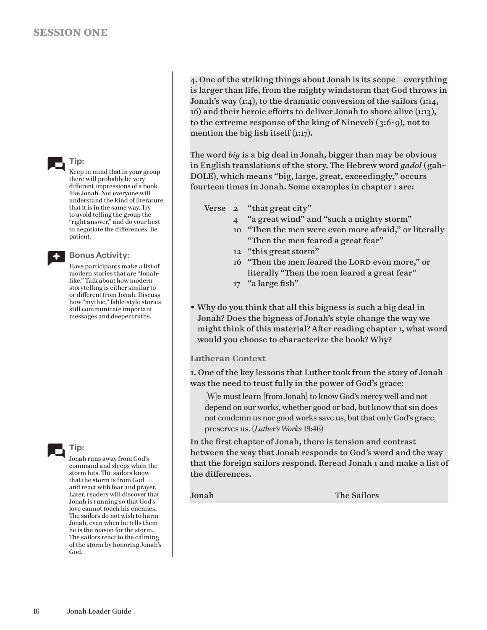

Keep in mind that in your group there will probably be very different impressions of a book like Jonah. Not everyone will understand the kind of literature that it is in the same way. Try to avoid telling the group the "right answer," and do your best to negotiate the differences. Be patient.

**+**

**Bonus Activity:**

Have participants make a list of modern stories that are "Jonahlike." Talk about how modern storytelling is either similar to or different from Jonah. Discuss how "mythic," fable-style stories still communicate important messages and deeper truths.



Jonah runs away from God's command and sleeps when the storm hits. The sailors know that the storm is from God and react with fear and prayer. Later, readers will discover that Jonah is running so that God's love cannot touch his enemies. The sailors do not wish to harm Jonah, even when he tells them he is the reason for the storm. The sailors react to the calming of the storm by honoring Jonah's God.

4. One of the striking things about Jonah is its scope—everything is larger than life, from the mighty windstorm that God throws in Jonah's way (1:4), to the dramatic conversion of the sailors (1:14, 16) and their heroic efforts to deliver Jonah to shore alive (1:13), to the extreme response of the king of Nineveh (3:6-9), not to mention the big fish itself (1:17).

The word *big* is a big deal in Jonah, bigger than may be obvious in English translations of the story. The Hebrew word *gadol* (gah– DOLE), which means "big, large, great, exceedingly," occurs fourteen times in Jonah. Some examples in chapter 1 are:

Verse 2 "that great city"

- 4 "a great wind" and "such a mighty storm"
- 10 "Then the men were even more afraid," or literally "Then the men feared a great fear"
- 12 "this great storm"
- 16 "Then the men feared the LORD even more," or literally "Then the men feared a great fear"
- 17 "a large fish"
- Why do you think that all this bigness is such a big deal in Jonah? Does the bigness of Jonah's style change the way we might think of this material? After reading chapter 1, what word would you choose to characterize the book? Why?

#### **Lutheran Context**

1. One of the key lessons that Luther took from the story of Jonah was the need to trust fully in the power of God's grace:

[W]e must learn [from Jonah] to know God's mercy well and not depend on our works, whether good or bad, but know that sin does not condemn us nor good works save us, but that only God's grace preserves us. (*Luther's Works* 19:46)

In the first chapter of Jonah, there is tension and contrast between the way that Jonah responds to God's word and the way that the foreign sailors respond. Reread Jonah 1 and make a list of the differences.

Jonah The Sailors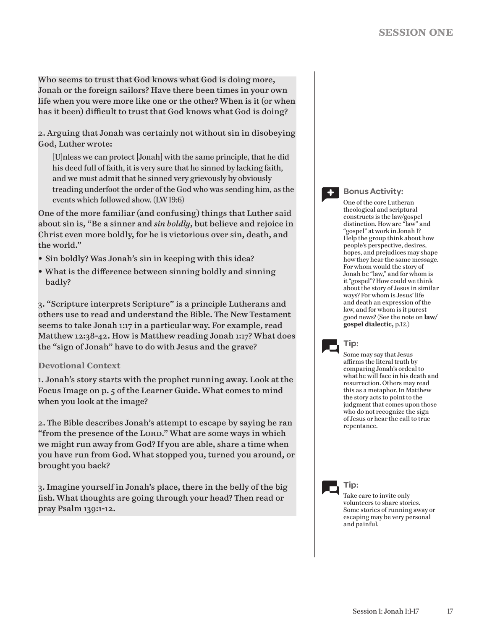Who seems to trust that God knows what God is doing more, Jonah or the foreign sailors? Have there been times in your own life when you were more like one or the other? When is it (or when has it been) difficult to trust that God knows what God is doing?

2. Arguing that Jonah was certainly not without sin in disobeying God, Luther wrote:

[U]nless we can protect [Jonah] with the same principle, that he did his deed full of faith, it is very sure that he sinned by lacking faith, and we must admit that he sinned very grievously by obviously treading underfoot the order of the God who was sending him, as the events which followed show. (LW 19:6)

One of the more familiar (and confusing) things that Luther said about sin is, "Be a sinner and *sin boldly*, but believe and rejoice in Christ even more boldly, for he is victorious over sin, death, and the world."

- Sin boldly? Was Jonah's sin in keeping with this idea?
- What is the difference between sinning boldly and sinning badly?

3. "Scripture interprets Scripture" is a principle Lutherans and others use to read and understand the Bible. The New Testament seems to take Jonah 1:17 in a particular way. For example, read Matthew 12:38-42. How is Matthew reading Jonah 1:17? What does the "sign of Jonah" have to do with Jesus and the grave?

#### **Devotional Context**

1. Jonah's story starts with the prophet running away. Look at the Focus Image on p. 5 of the Learner Guide. What comes to mind when you look at the image?

2. The Bible describes Jonah's attempt to escape by saying he ran "from the presence of the LORD." What are some ways in which we might run away from God? If you are able, share a time when you have run from God. What stopped you, turned you around, or brought you back?

3. Imagine yourself in Jonah's place, there in the belly of the big fish. What thoughts are going through your head? Then read or pray Psalm 139:1-12.

**+**

#### **Bonus Activity:**

One of the core Lutheran theological and scriptural constructs is the law/gospel distinction. How are "law" and "gospel" at work in Jonah 1? Help the group think about how people's perspective, desires, hopes, and prejudices may shape how they hear the same message. For whom would the story of Jonah be "law," and for whom is it "gospel"? How could we think about the story of Jesus in similar ways? For whom is Jesus' life and death an expression of the law, and for whom is it purest good news? (See the note on **law/ gospel dialectic,** p.12.)

### **Tip:**

Some may say that Jesus affirms the literal truth by comparing Jonah's ordeal to what he will face in his death and resurrection. Others may read this as a metaphor. In Matthew the story acts to point to the judgment that comes upon those who do not recognize the sign of Jesus or hear the call to true repentance.

**Tip:**

Take care to invite only volunteers to share stories. Some stories of running away or escaping may be very personal and painful.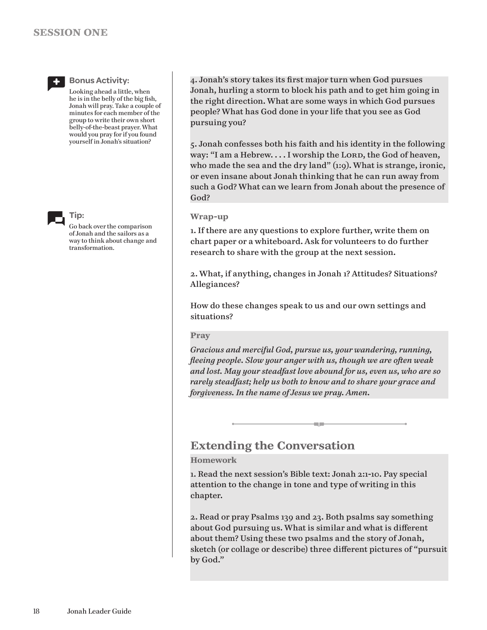

#### **Bonus Activity:**

Looking ahead a little, when he is in the belly of the big fish, Jonah will pray. Take a couple of minutes for each member of the group to write their own short belly-of-the-beast prayer. What would you pray for if you found yourself in Jonah's situation?



**Tip:**

Go back over the comparison of Jonah and the sailors as a way to think about change and transformation.

4. Jonah's story takes its first major turn when God pursues Jonah, hurling a storm to block his path and to get him going in the right direction. What are some ways in which God pursues people? What has God done in your life that you see as God pursuing you?

5. Jonah confesses both his faith and his identity in the following way: "I am a Hebrew.... I worship the LORD, the God of heaven, who made the sea and the dry land" (1:9). What is strange, ironic, or even insane about Jonah thinking that he can run away from such a God? What can we learn from Jonah about the presence of God?

#### **Wrap-up**

1. If there are any questions to explore further, write them on chart paper or a whiteboard. Ask for volunteers to do further research to share with the group at the next session.

2. What, if anything, changes in Jonah 1? Attitudes? Situations? Allegiances?

How do these changes speak to us and our own settings and situations?

#### **Pray**

*Gracious and merciful God, pursue us, your wandering, running, fleeing people. Slow your anger with us, though we are often weak and lost. May your steadfast love abound for us, even us, who are so rarely steadfast; help us both to know and to share your grace and forgiveness. In the name of Jesus we pray. Amen.*

a.

# **Extending the Conversation**

#### **Homework**

1. Read the next session's Bible text: Jonah 2:1-10. Pay special attention to the change in tone and type of writing in this chapter.

2. Read or pray Psalms 139 and 23. Both psalms say something about God pursuing us. What is similar and what is different about them? Using these two psalms and the story of Jonah, sketch (or collage or describe) three different pictures of "pursuit by God."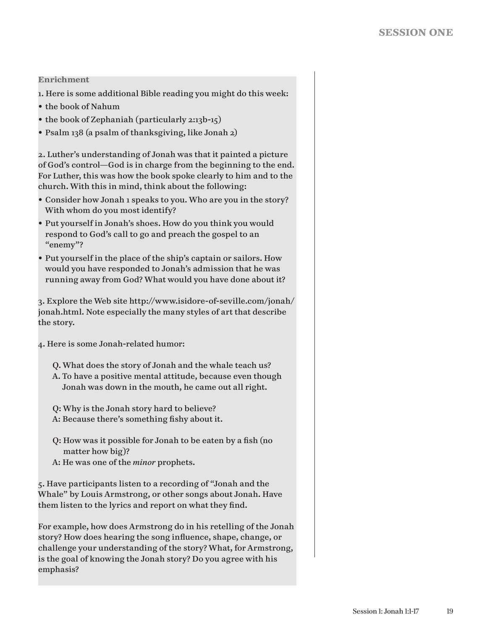#### **Enrichment**

- 1. Here is some additional Bible reading you might do this week:
- the book of Nahum
- the book of Zephaniah (particularly 2:13b-15)
- Psalm 138 (a psalm of thanksgiving, like Jonah 2)

2. Luther's understanding of Jonah was that it painted a picture of God's control—God is in charge from the beginning to the end. For Luther, this was how the book spoke clearly to him and to the church. With this in mind, think about the following:

- Consider how Jonah 1 speaks to you. Who are you in the story? With whom do you most identify?
- Put yourself in Jonah's shoes. How do you think you would respond to God's call to go and preach the gospel to an "enemy"?
- Put yourself in the place of the ship's captain or sailors. How would you have responded to Jonah's admission that he was running away from God? What would you have done about it?

3. Explore the Web site http://www.isidore-of-seville.com/jonah/ jonah.html. Note especially the many styles of art that describe the story.

4. Here is some Jonah-related humor:

- Q. What does the story of Jonah and the whale teach us?
- A. To have a positive mental attitude, because even though Jonah was down in the mouth, he came out all right.

Q: Why is the Jonah story hard to believe? A: Because there's something fishy about it.

- Q: How was it possible for Jonah to be eaten by a fish (no matter how big)?
- A: He was one of the *minor* prophets.

5. Have participants listen to a recording of "Jonah and the Whale" by Louis Armstrong, or other songs about Jonah. Have them listen to the lyrics and report on what they find.

For example, how does Armstrong do in his retelling of the Jonah story? How does hearing the song influence, shape, change, or challenge your understanding of the story? What, for Armstrong, is the goal of knowing the Jonah story? Do you agree with his emphasis?